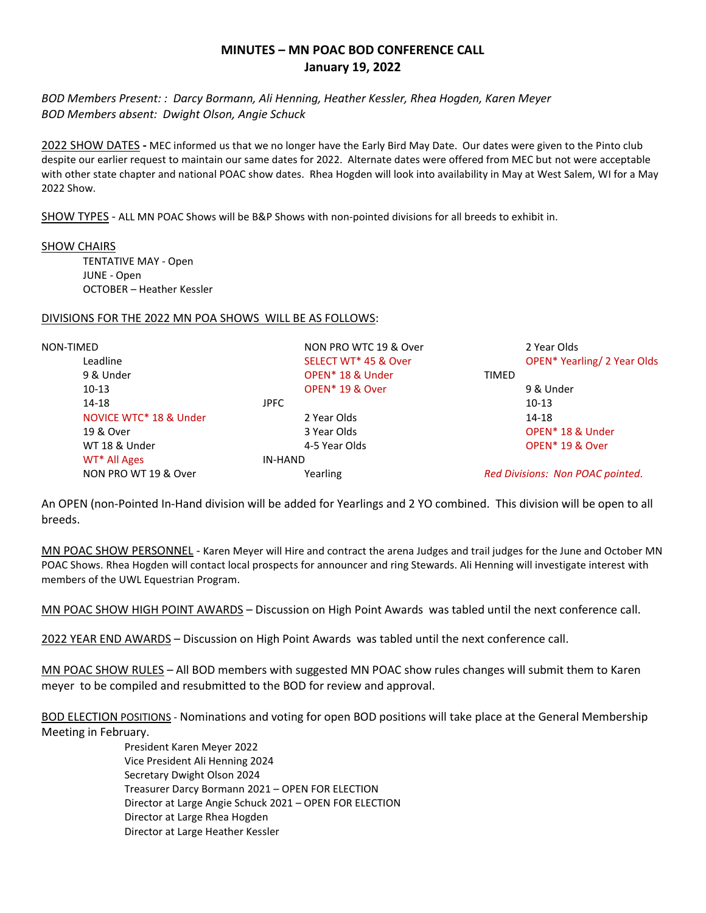# **MINUTES – MN POAC BOD CONFERENCE CALL January 19, 2022**

*BOD Members Present: : Darcy Bormann, Ali Henning, Heather Kessler, Rhea Hogden, Karen Meyer BOD Members absent: Dwight Olson, Angie Schuck*

2022 SHOW DATES **-** MEC informed us that we no longer have the Early Bird May Date. Our dates were given to the Pinto club despite our earlier request to maintain our same dates for 2022. Alternate dates were offered from MEC but not were acceptable with other state chapter and national POAC show dates. Rhea Hogden will look into availability in May at West Salem, WI for a May 2022 Show.

SHOW TYPES - ALL MN POAC Shows will be B&P Shows with non-pointed divisions for all breeds to exhibit in.

#### SHOW CHAIRS

TENTATIVE MAY - Open JUNE - Open OCTOBER – Heather Kessler

#### DIVISIONS FOR THE 2022 MN POA SHOWS WILL BE AS FOLLOWS:

| NON-TIMED                | NON PRO WTC 19 & Over        | 2 Year Olds                        |
|--------------------------|------------------------------|------------------------------------|
| Leadline                 | SELECT WT* 45 & Over         | <b>OPEN* Yearling/ 2 Year Olds</b> |
| 9 & Under                | OPEN <sup>*</sup> 18 & Under | <b>TIMED</b>                       |
| $10-13$                  | OPEN <sup>*</sup> 19 & Over  | 9 & Under                          |
| 14-18                    | JPFC.                        | $10-13$                            |
| NOVICE WTC* 18 & Under   | 2 Year Olds                  | 14-18                              |
| 19 & Over                | 3 Year Olds                  | OPEN <sup>*</sup> 18 & Under       |
| WT 18 & Under            | 4-5 Year Olds                | OPEN <sup>*</sup> 19 & Over        |
| WT <sup>*</sup> All Ages | IN-HAND                      |                                    |
| NON PRO WT 19 & Over     | Yearling                     | Red Divisions: Non POAC pointed.   |

An OPEN (non-Pointed In-Hand division will be added for Yearlings and 2 YO combined. This division will be open to all breeds.

MN POAC SHOW PERSONNEL - Karen Meyer will Hire and contract the arena Judges and trail judges for the June and October MN POAC Shows. Rhea Hogden will contact local prospects for announcer and ring Stewards. Ali Henning will investigate interest with members of the UWL Equestrian Program.

MN POAC SHOW HIGH POINT AWARDS – Discussion on High Point Awards was tabled until the next conference call.

2022 YEAR END AWARDS – Discussion on High Point Awards was tabled until the next conference call.

MN POAC SHOW RULES – All BOD members with suggested MN POAC show rules changes will submit them to Karen meyer to be compiled and resubmitted to the BOD for review and approval.

BOD ELECTION POSITIONS - Nominations and voting for open BOD positions will take place at the General Membership Meeting in February.

> President Karen Meyer 2022 Vice President Ali Henning 2024 Secretary Dwight Olson 2024 Treasurer Darcy Bormann 2021 – OPEN FOR ELECTION Director at Large Angie Schuck 2021 – OPEN FOR ELECTION Director at Large Rhea Hogden Director at Large Heather Kessler